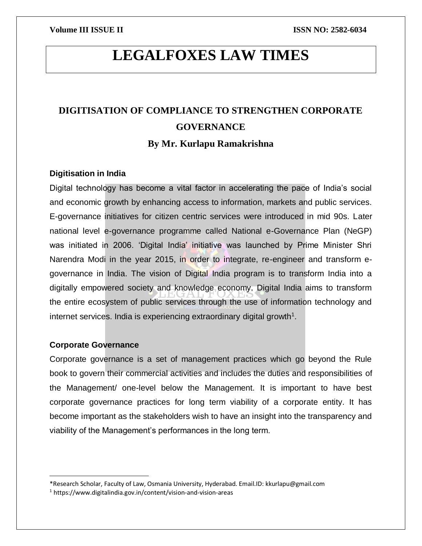# **LEGALFOXES LAW TIMES**

## **DIGITISATION OF COMPLIANCE TO STRENGTHEN CORPORATE GOVERNANCE By Mr. Kurlapu Ramakrishna**

### **Digitisation in India**

Digital technology has become a vital factor in accelerating the pace of India's social and economic growth by enhancing access to information, markets and public services. E-governance initiatives for citizen centric services were introduced in mid 90s. Later national level e-governance programme called National e-Governance Plan (NeGP) was initiated in 2006. 'Digital India' initiative was launched by Prime Minister Shri Narendra Modi in the year 2015, in order to integrate, re-engineer and transform egovernance in India. The vision of Digital India program is to transform India into a digitally empowered society and knowledge economy. Digital India aims to transform the entire ecosystem of public services through the use of information technology and internet services. India is experiencing extraordinary digital growth $1$ .

### **Corporate Governance**

 $\overline{\phantom{a}}$ 

Corporate governance is a set of management practices which go beyond the Rule book to govern their commercial activities and includes the duties and responsibilities of the Management/ one-level below the Management. It is important to have best corporate governance practices for long term viability of a corporate entity. It has become important as the stakeholders wish to have an insight into the transparency and viability of the Management's performances in the long term.

<sup>\*</sup>Research Scholar, Faculty of Law, Osmania University, Hyderabad. Email.ID: kkurlapu@gmail.com

<sup>1</sup> https://www.digitalindia.gov.in/content/vision-and-vision-areas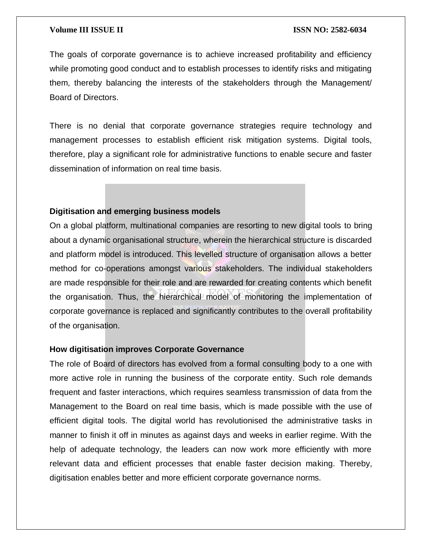The goals of corporate governance is to achieve increased profitability and efficiency while promoting good conduct and to establish processes to identify risks and mitigating them, thereby balancing the interests of the stakeholders through the Management/ Board of Directors.

There is no denial that corporate governance strategies require technology and management processes to establish efficient risk mitigation systems. Digital tools, therefore, play a significant role for administrative functions to enable secure and faster dissemination of information on real time basis.

### **Digitisation and emerging business models**

On a global platform, multinational companies are resorting to new digital tools to bring about a dynamic organisational structure, wherein the hierarchical structure is discarded and platform model is introduced. This levelled structure of organisation allows a better method for co-operations amongst various stakeholders. The individual stakeholders are made responsible for their role and are rewarded for creating contents which benefit the organisation. Thus, the hierarchical model of monitoring the implementation of corporate governance is replaced and significantly contributes to the overall profitability of the organisation.

### **How digitisation improves Corporate Governance**

The role of Board of directors has evolved from a formal consulting body to a one with more active role in running the business of the corporate entity. Such role demands frequent and faster interactions, which requires seamless transmission of data from the Management to the Board on real time basis, which is made possible with the use of efficient digital tools. The digital world has revolutionised the administrative tasks in manner to finish it off in minutes as against days and weeks in earlier regime. With the help of adequate technology, the leaders can now work more efficiently with more relevant data and efficient processes that enable faster decision making. Thereby, digitisation enables better and more efficient corporate governance norms.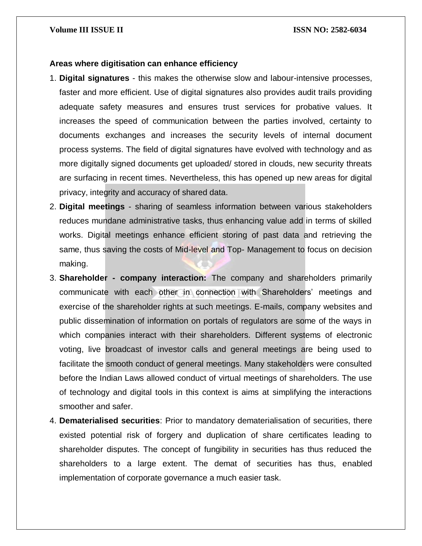#### **Areas where digitisation can enhance efficiency**

- 1. **Digital signatures** this makes the otherwise slow and labour-intensive processes, faster and more efficient. Use of digital signatures also provides audit trails providing adequate safety measures and ensures trust services for probative values. It increases the speed of communication between the parties involved, certainty to documents exchanges and increases the security levels of internal document process systems. The field of digital signatures have evolved with technology and as more digitally signed documents get uploaded/ stored in clouds, new security threats are surfacing in recent times. Nevertheless, this has opened up new areas for digital privacy, integrity and accuracy of shared data.
- 2. **Digital meetings** sharing of seamless information between various stakeholders reduces mundane administrative tasks, thus enhancing value add in terms of skilled works. Digital meetings enhance efficient storing of past data and retrieving the same, thus saving the costs of Mid-level and Top- Management to focus on decision making.
- 3. **Shareholder - company interaction:** The company and shareholders primarily communicate with each other in connection with Shareholders' meetings and exercise of the shareholder rights at such meetings. E-mails, company websites and public dissemination of information on portals of regulators are some of the ways in which companies interact with their shareholders. Different systems of electronic voting, live broadcast of investor calls and general meetings are being used to facilitate the smooth conduct of general meetings. Many stakeholders were consulted before the Indian Laws allowed conduct of virtual meetings of shareholders. The use of technology and digital tools in this context is aims at simplifying the interactions smoother and safer.
- 4. **Dematerialised securities**: Prior to mandatory dematerialisation of securities, there existed potential risk of forgery and duplication of share certificates leading to shareholder disputes. The concept of fungibility in securities has thus reduced the shareholders to a large extent. The demat of securities has thus, enabled implementation of corporate governance a much easier task.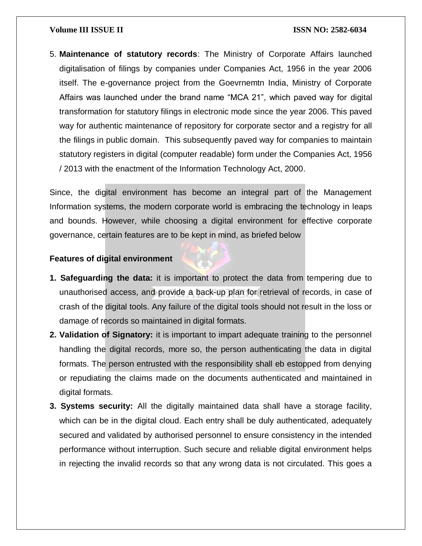5. **Maintenance of statutory records**: The Ministry of Corporate Affairs launched digitalisation of filings by companies under Companies Act, 1956 in the year 2006 itself. The e-governance project from the Goevrnemtn India, Ministry of Corporate Affairs was launched under the brand name "MCA 21", which paved way for digital transformation for statutory filings in electronic mode since the year 2006. This paved way for authentic maintenance of repository for corporate sector and a registry for all the filings in public domain. This subsequently paved way for companies to maintain statutory registers in digital (computer readable) form under the Companies Act, 1956 / 2013 with the enactment of the Information Technology Act, 2000.

Since, the digital environment has become an integral part of the Management Information systems, the modern corporate world is embracing the technology in leaps and bounds. However, while choosing a digital environment for effective corporate governance, certain features are to be kept in mind, as briefed below

### **Features of digital environment**

- **1. Safeguarding the data:** it is important to protect the data from tempering due to unauthorised access, and provide a back-up plan for retrieval of records, in case of crash of the digital tools. Any failure of the digital tools should not result in the loss or damage of records so maintained in digital formats.
- **2. Validation of Signatory:** it is important to impart adequate training to the personnel handling the digital records, more so, the person authenticating the data in digital formats. The person entrusted with the responsibility shall eb estopped from denying or repudiating the claims made on the documents authenticated and maintained in digital formats.
- **3. Systems security:** All the digitally maintained data shall have a storage facility, which can be in the digital cloud. Each entry shall be duly authenticated, adequately secured and validated by authorised personnel to ensure consistency in the intended performance without interruption. Such secure and reliable digital environment helps in rejecting the invalid records so that any wrong data is not circulated. This goes a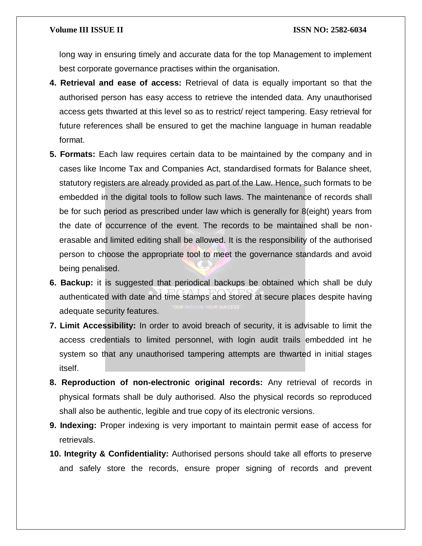long way in ensuring timely and accurate data for the top Management to implement best corporate governance practises within the organisation.

- **4. Retrieval and ease of access:** Retrieval of data is equally important so that the authorised person has easy access to retrieve the intended data. Any unauthorised access gets thwarted at this level so as to restrict/ reject tampering. Easy retrieval for future references shall be ensured to get the machine language in human readable format.
- **5. Formats:** Each law requires certain data to be maintained by the company and in cases like Income Tax and Companies Act, standardised formats for Balance sheet, statutory registers are already provided as part of the Law. Hence, such formats to be embedded in the digital tools to follow such laws. The maintenance of records shall be for such period as prescribed under law which is generally for 8(eight) years from the date of occurrence of the event. The records to be maintained shall be nonerasable and limited editing shall be allowed. It is the responsibility of the authorised person to choose the appropriate tool to meet the governance standards and avoid being penalised.
- **6. Backup:** it is suggested that periodical backups be obtained which shall be duly authenticated with date and time stamps and stored at secure places despite having adequate security features.
- **7. Limit Accessibility:** In order to avoid breach of security, it is advisable to limit the access credentials to limited personnel, with login audit trails embedded int he system so that any unauthorised tampering attempts are thwarted in initial stages itself.
- **8. Reproduction of non-electronic original records:** Any retrieval of records in physical formats shall be duly authorised. Also the physical records so reproduced shall also be authentic, legible and true copy of its electronic versions.
- **9. Indexing:** Proper indexing is very important to maintain permit ease of access for retrievals.
- **10. Integrity & Confidentiality:** Authorised persons should take all efforts to preserve and safely store the records, ensure proper signing of records and prevent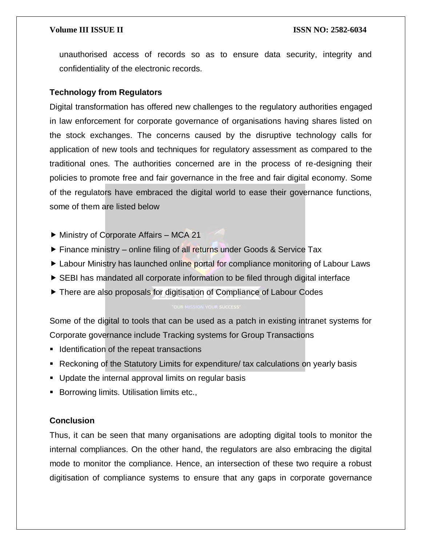unauthorised access of records so as to ensure data security, integrity and confidentiality of the electronic records.

#### **Technology from Regulators**

Digital transformation has offered new challenges to the regulatory authorities engaged in law enforcement for corporate governance of organisations having shares listed on the stock exchanges. The concerns caused by the disruptive technology calls for application of new tools and techniques for regulatory assessment as compared to the traditional ones. The authorities concerned are in the process of re-designing their policies to promote free and fair governance in the free and fair digital economy. Some of the regulators have embraced the digital world to ease their governance functions, some of them are listed below

- Ministry of Corporate Affairs MCA 21
- $\triangleright$  Finance ministry online filing of all returns under Goods & Service Tax
- ► Labour Ministry has launched online portal for compliance monitoring of Labour Laws
- SEBI has mandated all corporate information to be filed through digital interface
- ▶ There are also proposals for digitisation of Compliance of Labour Codes

Some of the digital to tools that can be used as a patch in existing intranet systems for Corporate governance include Tracking systems for Group Transactions

- **If** Identification of the repeat transactions
- Reckoning of the Statutory Limits for expenditure/ tax calculations on yearly basis
- Update the internal approval limits on regular basis
- **Borrowing limits. Utilisation limits etc.,**

### **Conclusion**

Thus, it can be seen that many organisations are adopting digital tools to monitor the internal compliances. On the other hand, the regulators are also embracing the digital mode to monitor the compliance. Hence, an intersection of these two require a robust digitisation of compliance systems to ensure that any gaps in corporate governance